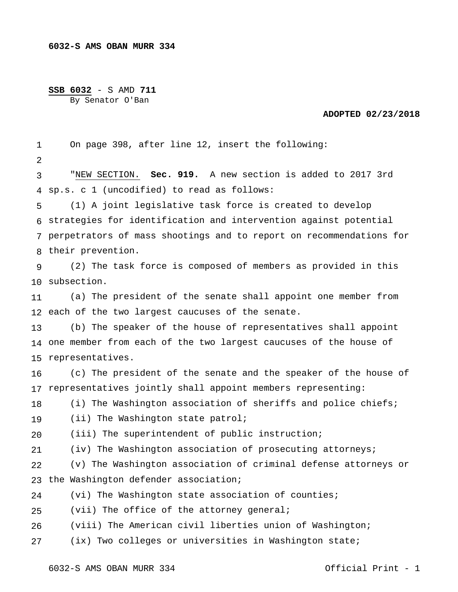## **SSB 6032** - S AMD **711**

By Senator O'Ban

## **ADOPTED 02/23/2018**

1 2 3 4 sp.s. c 1 (uncodified) to read as follows: 5 6 strategies for identification and intervention against potential 7 perpetrators of mass shootings and to report on recommendations for 8 their prevention. 9 10 subsection. 11 12 each of the two largest caucuses of the senate. 13 14 one member from each of the two largest caucuses of the house of 15 representatives. 16 17 representatives jointly shall appoint members representing: 18 19  $2.0$ 21 22 23 the Washington defender association; 24 25 26 27 On page 398, after line 12, insert the following: "NEW SECTION. **Sec. 919.** A new section is added to 2017 3rd (1) A joint legislative task force is created to develop (2) The task force is composed of members as provided in this (a) The president of the senate shall appoint one member from (b) The speaker of the house of representatives shall appoint (c) The president of the senate and the speaker of the house of (i) The Washington association of sheriffs and police chiefs; (ii) The Washington state patrol; (iii) The superintendent of public instruction; (iv) The Washington association of prosecuting attorneys; (v) The Washington association of criminal defense attorneys or (vi) The Washington state association of counties; (vii) The office of the attorney general; (viii) The American civil liberties union of Washington; (ix) Two colleges or universities in Washington state;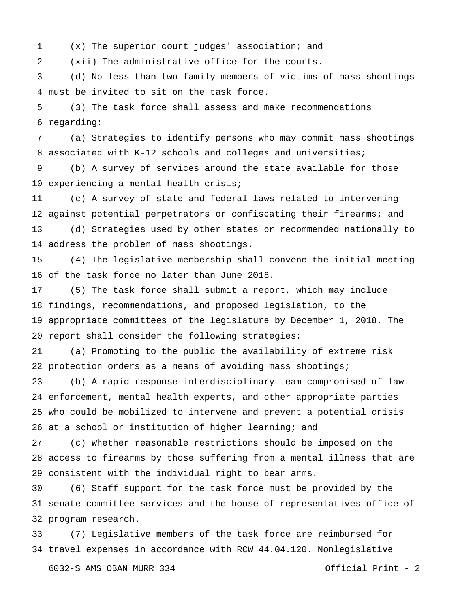(x) The superior court judges' association; and

 (xii) The administrative office for the courts.

 must be invited to sit on the task force. (d) No less than two family members of victims of mass shootings

 regarding: (3) The task force shall assess and make recommendations

 associated with K-12 schools and colleges and universities; (a) Strategies to identify persons who may commit mass shootings

 experiencing a mental health crisis; (b) A survey of services around the state available for those

 against potential perpetrators or confiscating their firearms; and address the problem of mass shootings. (c) A survey of state and federal laws related to intervening (d) Strategies used by other states or recommended nationally to

 of the task force no later than June 2018. (4) The legislative membership shall convene the initial meeting

 findings, recommendations, and proposed legislation, to the appropriate committees of the legislature by December 1, 2018. The report shall consider the following strategies: (5) The task force shall submit a report, which may include

 protection orders as a means of avoiding mass shootings; (a) Promoting to the public the availability of extreme risk

 enforcement, mental health experts, and other appropriate parties who could be mobilized to intervene and prevent a potential crisis at a school or institution of higher learning; and (b) A rapid response interdisciplinary team compromised of law

 access to firearms by those suffering from a mental illness that are consistent with the individual right to bear arms. (c) Whether reasonable restrictions should be imposed on the

 senate committee services and the house of representatives office of program research. (6) Staff support for the task force must be provided by the

 travel expenses in accordance with RCW 44.04.120. Nonlegislative (7) Legislative members of the task force are reimbursed for